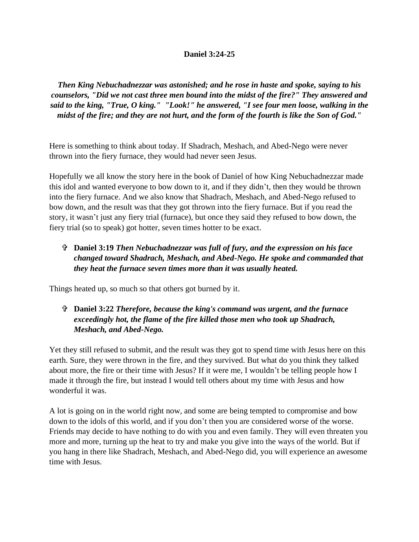## **Daniel 3:24-25**

*Then King Nebuchadnezzar was astonished; and he rose in haste and spoke, saying to his counselors, "Did we not cast three men bound into the midst of the fire?" They answered and said to the king, "True, O king." "Look!" he answered, "I see four men loose, walking in the midst of the fire; and they are not hurt, and the form of the fourth is like the Son of God."*

Here is something to think about today. If Shadrach, Meshach, and Abed-Nego were never thrown into the fiery furnace, they would had never seen Jesus.

Hopefully we all know the story here in the book of Daniel of how King Nebuchadnezzar made this idol and wanted everyone to bow down to it, and if they didn't, then they would be thrown into the fiery furnace. And we also know that Shadrach, Meshach, and Abed-Nego refused to bow down, and the result was that they got thrown into the fiery furnace. But if you read the story, it wasn't just any fiery trial (furnace), but once they said they refused to bow down, the fiery trial (so to speak) got hotter, seven times hotter to be exact.

## **Daniel 3:19** *Then Nebuchadnezzar was full of fury, and the expression on his face changed toward Shadrach, Meshach, and Abed-Nego. He spoke and commanded that they heat the furnace seven times more than it was usually heated.*

Things heated up, so much so that others got burned by it.

## **Daniel 3:22** *Therefore, because the king's command was urgent, and the furnace exceedingly hot, the flame of the fire killed those men who took up Shadrach, Meshach, and Abed-Nego.*

Yet they still refused to submit, and the result was they got to spend time with Jesus here on this earth. Sure, they were thrown in the fire, and they survived. But what do you think they talked about more, the fire or their time with Jesus? If it were me, I wouldn't be telling people how I made it through the fire, but instead I would tell others about my time with Jesus and how wonderful it was.

A lot is going on in the world right now, and some are being tempted to compromise and bow down to the idols of this world, and if you don't then you are considered worse of the worse. Friends may decide to have nothing to do with you and even family. They will even threaten you more and more, turning up the heat to try and make you give into the ways of the world. But if you hang in there like Shadrach, Meshach, and Abed-Nego did, you will experience an awesome time with Jesus.